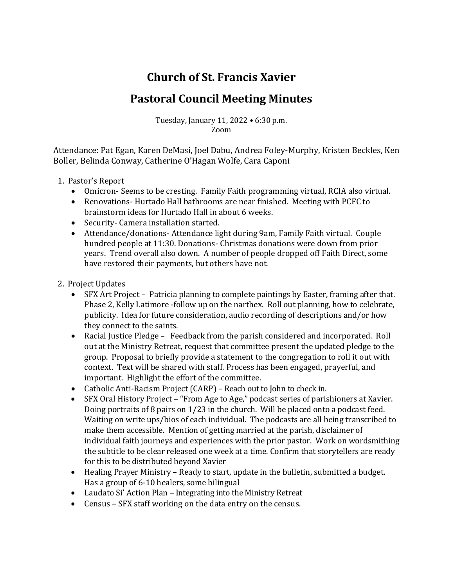## **Church of St. Francis Xavier**

## **Pastoral Council Meeting Minutes**

Tuesday, January 11, 2022 • 6:30 p.m. Zoom

Attendance: Pat Egan, Karen DeMasi, Joel Dabu, Andrea Foley-Murphy, Kristen Beckles, Ken Boller, Belinda Conway, Catherine O'Hagan Wolfe, Cara Caponi

- 1. Pastor's Report
	- Omicron- Seems to be cresting. Family Faith programming virtual, RCIA also virtual.
	- Renovations- Hurtado Hall bathrooms are near finished. Meeting with PCFC to brainstorm ideas for Hurtado Hall in about 6 weeks.
	- Security- Camera installation started.
	- Attendance/donations-Attendance light during 9am, Family Faith virtual. Couple hundred people at 11:30. Donations- Christmas donations were down from prior years. Trend overall also down. A number of people dropped off Faith Direct, some have restored their payments, but others have not.
- 2. Project Updates
	- SFX Art Project Patricia planning to complete paintings by Easter, framing after that. Phase 2, Kelly Latimore -follow up on the narthex. Roll out planning, how to celebrate, publicity. Idea for future consideration, audio recording of descriptions and/or how they connect to the saints.
	- Racial Justice Pledge Feedback from the parish considered and incorporated. Roll out at the Ministry Retreat, request that committee present the updated pledge to the group. Proposal to briefly provide a statement to the congregation to roll it out with context. Text will be shared with staff. Process has been engaged, prayerful, and important. Highlight the effort of the committee.
	- Catholic Anti-Racism Project  $(CARP)$  Reach out to John to check in.
	- SFX Oral History Project "From Age to Age," podcast series of parishioners at Xavier. Doing portraits of 8 pairs on  $1/23$  in the church. Will be placed onto a podcast feed. Waiting on write ups/bios of each individual. The podcasts are all being transcribed to make them accessible. Mention of getting married at the parish, disclaimer of individual faith journeys and experiences with the prior pastor. Work on wordsmithing the subtitle to be clear released one week at a time. Confirm that storytellers are ready for this to be distributed beyond Xavier
	- Healing Prayer Ministry Ready to start, update in the bulletin, submitted a budget. Has a group of 6-10 healers, some bilingual
	- Laudato Si' Action Plan Integrating into the Ministry Retreat
	- Census SFX staff working on the data entry on the census.